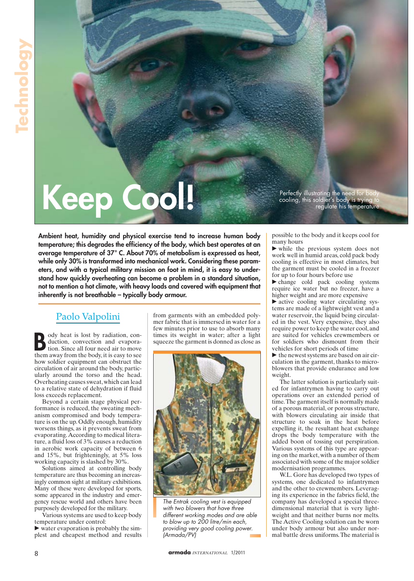# **Keep Cool!**

Perfectly illustrating the need for cooling, this soldier's body is trying to regulate his temperature

**Ambient heat, humidity and physical exercise tend to increase human body temperature; this degrades the efficiency of the body, which best operates at an average temperature of 37° C. About 70% of metabolism is expressed as heat, while only 30% is transformed into mechanical work. Considering these parameters, and with a typical military mission on foot in mind, it is easy to understand how quickly overheating can become a problem in a standard situation, not to mention a hot climate, with heavy loads and covered with equipment that inherently is not breathable – typically body armour.**

## Paolo Valpolini

**B** ody heat is lost by radiation, con-<br>duction, convection and evapora-<br>tion. Since all four need air to move<br>them away from the body it is easy to see duction, convection and evaporation. Since all four need air to move them away from the body, it is easy to see how soldier equipment can obstruct the circulation of air around the body, particularly around the torso and the head. Overheating causes sweat, which can lead to a relative state of dehydration if fluid loss exceeds replacement.

Beyond a certain stage physical performance is reduced, the sweating mechanism compromised and body temperature is on the up. Oddly enough, humidity worsens things, as it prevents sweat from evaporating. According to medical literature, a fluid loss of 3% causes a reduction in aerobic work capacity of between 6 and 15%, but frighteningly, at 5% loss working capacity is slashed by 30%.

Solutions aimed at controlling body temperature are thus becoming an increasingly common sight at military exhibitions. Many of these were developed for sports, some appeared in the industry and emergency rescue world and others have been purposely developed for the military.

Various systems are used to keep body temperature under control: - water evaporation is probably the simplest and cheapest method and results from garments with an embedded polymer fabric that is immersed in water for a few minutes prior to use to absorb many times its weight in water; after a light squeeze the garment is donned as close as



The Entrak cooling vest is equipped with two blowers that have three different working modes and are able to blow up to 200 litre/min each, providing very good cooling power. (Armada/PV)

possible to the body and it keeps cool for many hours

- while the previous system does not work well in humid areas, cold pack body cooling is effective in most climates, but the garment must be cooled in a freezer for up to four hours before use

- change cold pack cooling systems require ice water but no freezer, have a higher weight and are more expensive

 $\blacktriangleright$  active cooling water circulating systems are made of a lightweight vest and a water reservoir, the liquid being circulated in the vest. Very expensive, they also require power to keep the water cool, and are suited for vehicles crewmembers or for soldiers who dismount from their vehicles for short periods of time

- the newest systems are based on air circulation in the garment, thanks to microblowers that provide endurance and low weight.

The latter solution is particularly suited for infantrymen having to carry out operations over an extended period of time. The garment itself is normally made of a porous material, or porous structure, with blowers circulating air inside that structure to soak in the heat before expelling it, the resultant heat exchange drops the body temperature with the added boon of tossing out perspiration. Various systems of this type are appearing on the market, with a number of them associated with some of the major soldier modernisation programmes.

W.L. Gore has developed two types of systems, one dedicated to infantrymen and the other to crewmembers. Leveraging its experience in the fabrics field, the company has developed a special threedimensional material that is very lightweight and that neither burns nor melts. The Active Cooling solution can be worn under body armour but also under normal battle dress uniforms. The material is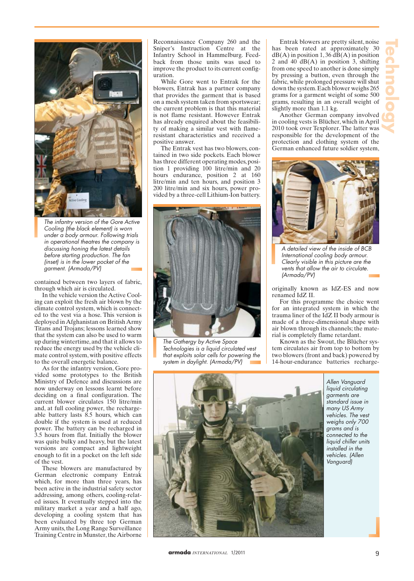

The infantry version of the Gore Active Cooling (the black element) is worn under a body armour. Following trials in operational theatres the company is discussing honing the latest details before starting production. The fan (inset) is in the lower pocket of the garment. (Armada/PV)

contained between two layers of fabric, through which air is circulated.

In the vehicle version the Active Cooling can exploit the fresh air blown by the climate control system, which is connected to the vest via a hose. This version is deployed in Afghanistan on British Army Titans and Trojans; lessons learned show that the system can also be used to warm up during wintertime, and that it allows to reduce the energy used by the vehicle climate control system, with positive effects to the overall energetic balance.

As for the infantry version, Gore provided some prototypes to the British Ministry of Defence and discussions are now underway on lessons learnt before deciding on a final configuration. The current blower circulates 150 litre/min and, at full cooling power, the rechargeable battery lasts 8.5 hours, which can double if the system is used at reduced power. The battery can be recharged in 3.5 hours from flat. Initially the blower was quite bulky and heavy, but the latest versions are compact and lightweight enough to fit in a pocket on the left side of the vest.

These blowers are manufactured by German electronic company Entrak which, for more than three years, has been active in the industrial safety sector addressing, among others, cooling-related issues. It eventually stepped into the military market a year and a half ago, developing a cooling system that has been evaluated by three top German Army units, the Long Range Surveillance Training Centre in Munster, the Airborne

Reconnaissance Company 260 and the Sniper's Instruction Centre at the Infantry School in Hammelburg. Feedback from those units was used to improve the product to its current configuration.

While Gore went to Entrak for the blowers, Entrak has a partner company that provides the garment that is based on a mesh system taken from sportswear; the current problem is that this material is not flame resistant. However Entrak has already enquired about the feasibility of making a similar vest with flameresistant characteristics and received a positive answer.

The Entrak vest has two blowers, contained in two side pockets. Each blower has three different operating modes, position 1 providing 100 litre/min and 20 hours endurance, position 2 at 160 litre/min and ten hours, and position 3 200 litre/min and six hours, power provided by a three-cell Lithium-Ion battery.



The Gathergy by Active Space Technologies is a liquid circulated vest that exploits solar cells for powering the system in daylight. (Armada/PV)

Entrak blowers are pretty silent, noise has been rated at approximately 30  $dB(A)$  in position 1, 36  $dB(A)$  in position 2 and 40 dB(A) in position 3, shifting from one speed to another is done simply by pressing a button, even through the fabric, while prolonged pressure will shut down the system. Each blower weighs 265 grams for a garment weight of some 500 grams, resulting in an overall weight of slightly more than 1.1 kg.

**Technology**

Another German company involved in cooling vests is Blücher, which in April 2010 took over Texplorer. The latter was responsible for the development of the protection and clothing system of the German enhanced future soldier system,



A detailed view of the inside of BCB International cooling body armour. Clearly visible in this picture are the vents that allow the air to circulate. (Armada/PV)

originally known as IdZ-ES and now renamed IdZ II.

For this programme the choice went for an integrated system in which the trauma liner of the IdZ II body armour is made of a three-dimensional shape with air blown through its channels; the material is completely flame retardant.

Known as the Swout, the Blücher system circulates air from top to bottom by two blowers (front and back) powered by 14-hour-endurance batteries recharge-



Allen Vanguard liquid circulating garments are standard issue in many US Army vehicles. The vest weighs only 700 grams and is connected to the liquid chiller units installed in the vehicles. (Allen Vanguard)

**armada** *INTERNATIONAL* 1/2011 9